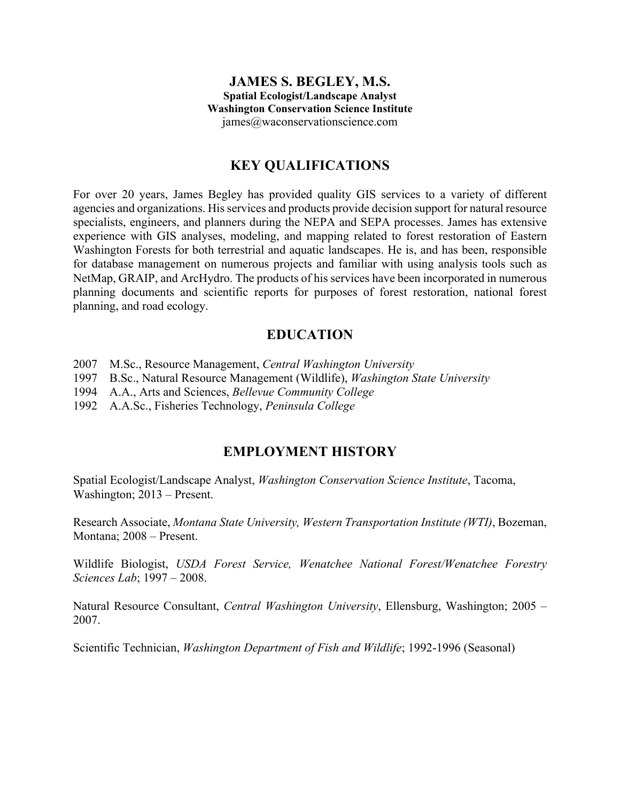#### **JAMES S. BEGLEY, M.S. Spatial Ecologist/Landscape Analyst Washington Conservation Science Institute** james@waconservationscience.com

## **KEY QUALIFICATIONS**

For over 20 years, James Begley has provided quality GIS services to a variety of different agencies and organizations. His services and products provide decision support for natural resource specialists, engineers, and planners during the NEPA and SEPA processes. James has extensive experience with GIS analyses, modeling, and mapping related to forest restoration of Eastern Washington Forests for both terrestrial and aquatic landscapes. He is, and has been, responsible for database management on numerous projects and familiar with using analysis tools such as NetMap, GRAIP, and ArcHydro. The products of his services have been incorporated in numerous planning documents and scientific reports for purposes of forest restoration, national forest planning, and road ecology.

## **EDUCATION**

- 2007 M.Sc., Resource Management, *Central Washington University*
- 1997 B.Sc., Natural Resource Management (Wildlife), *Washington State University*
- 1994 A.A., Arts and Sciences, *Bellevue Community College*
- 1992 A.A.Sc., Fisheries Technology, *Peninsula College*

### **EMPLOYMENT HISTORY**

Spatial Ecologist/Landscape Analyst, *Washington Conservation Science Institute*, Tacoma, Washington; 2013 – Present.

Research Associate, *Montana State University, Western Transportation Institute (WTI)*, Bozeman, Montana; 2008 – Present.

Wildlife Biologist, *USDA Forest Service, Wenatchee National Forest/Wenatchee Forestry Sciences Lab*; 1997 – 2008.

Natural Resource Consultant, *Central Washington University*, Ellensburg, Washington; 2005 – 2007.

Scientific Technician, *Washington Department of Fish and Wildlife*; 1992-1996 (Seasonal)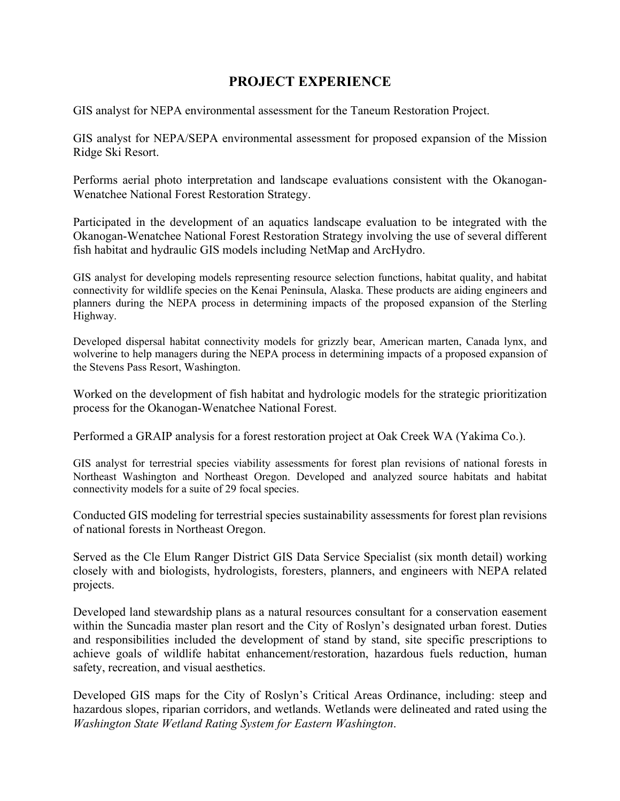# **PROJECT EXPERIENCE**

GIS analyst for NEPA environmental assessment for the Taneum Restoration Project.

GIS analyst for NEPA/SEPA environmental assessment for proposed expansion of the Mission Ridge Ski Resort.

Performs aerial photo interpretation and landscape evaluations consistent with the Okanogan-Wenatchee National Forest Restoration Strategy.

Participated in the development of an aquatics landscape evaluation to be integrated with the Okanogan-Wenatchee National Forest Restoration Strategy involving the use of several different fish habitat and hydraulic GIS models including NetMap and ArcHydro.

GIS analyst for developing models representing resource selection functions, habitat quality, and habitat connectivity for wildlife species on the Kenai Peninsula, Alaska. These products are aiding engineers and planners during the NEPA process in determining impacts of the proposed expansion of the Sterling Highway.

Developed dispersal habitat connectivity models for grizzly bear, American marten, Canada lynx, and wolverine to help managers during the NEPA process in determining impacts of a proposed expansion of the Stevens Pass Resort, Washington.

Worked on the development of fish habitat and hydrologic models for the strategic prioritization process for the Okanogan-Wenatchee National Forest.

Performed a GRAIP analysis for a forest restoration project at Oak Creek WA (Yakima Co.).

GIS analyst for terrestrial species viability assessments for forest plan revisions of national forests in Northeast Washington and Northeast Oregon. Developed and analyzed source habitats and habitat connectivity models for a suite of 29 focal species.

Conducted GIS modeling for terrestrial species sustainability assessments for forest plan revisions of national forests in Northeast Oregon.

Served as the Cle Elum Ranger District GIS Data Service Specialist (six month detail) working closely with and biologists, hydrologists, foresters, planners, and engineers with NEPA related projects.

Developed land stewardship plans as a natural resources consultant for a conservation easement within the Suncadia master plan resort and the City of Roslyn's designated urban forest. Duties and responsibilities included the development of stand by stand, site specific prescriptions to achieve goals of wildlife habitat enhancement/restoration, hazardous fuels reduction, human safety, recreation, and visual aesthetics.

Developed GIS maps for the City of Roslyn's Critical Areas Ordinance, including: steep and hazardous slopes, riparian corridors, and wetlands. Wetlands were delineated and rated using the *Washington State Wetland Rating System for Eastern Washington*.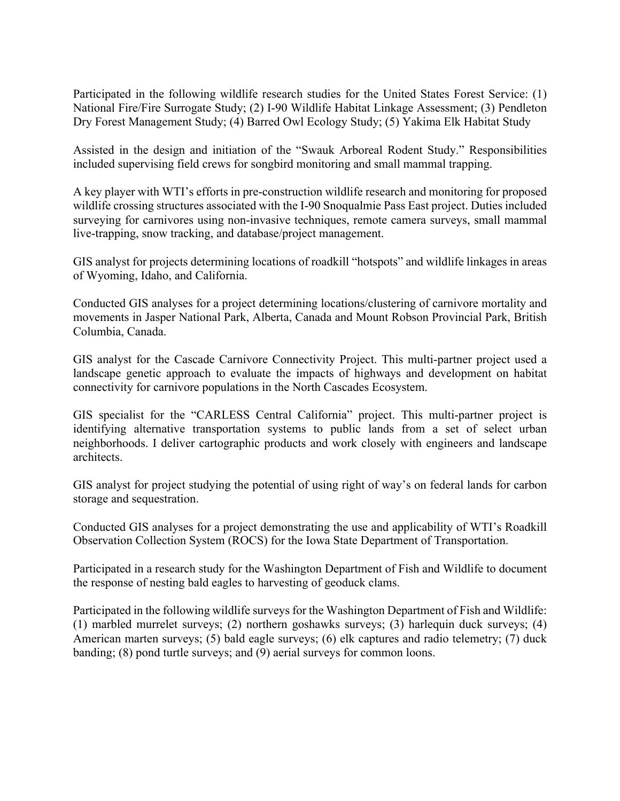Participated in the following wildlife research studies for the United States Forest Service: (1) National Fire/Fire Surrogate Study; (2) I-90 Wildlife Habitat Linkage Assessment; (3) Pendleton Dry Forest Management Study; (4) Barred Owl Ecology Study; (5) Yakima Elk Habitat Study

Assisted in the design and initiation of the "Swauk Arboreal Rodent Study." Responsibilities included supervising field crews for songbird monitoring and small mammal trapping.

A key player with WTI's efforts in pre-construction wildlife research and monitoring for proposed wildlife crossing structures associated with the I-90 Snoqualmie Pass East project. Duties included surveying for carnivores using non-invasive techniques, remote camera surveys, small mammal live-trapping, snow tracking, and database/project management.

GIS analyst for projects determining locations of roadkill "hotspots" and wildlife linkages in areas of Wyoming, Idaho, and California.

Conducted GIS analyses for a project determining locations/clustering of carnivore mortality and movements in Jasper National Park, Alberta, Canada and Mount Robson Provincial Park, British Columbia, Canada.

GIS analyst for the Cascade Carnivore Connectivity Project. This multi-partner project used a landscape genetic approach to evaluate the impacts of highways and development on habitat connectivity for carnivore populations in the North Cascades Ecosystem.

GIS specialist for the "CARLESS Central California" project. This multi-partner project is identifying alternative transportation systems to public lands from a set of select urban neighborhoods. I deliver cartographic products and work closely with engineers and landscape architects.

GIS analyst for project studying the potential of using right of way's on federal lands for carbon storage and sequestration.

Conducted GIS analyses for a project demonstrating the use and applicability of WTI's Roadkill Observation Collection System (ROCS) for the Iowa State Department of Transportation.

Participated in a research study for the Washington Department of Fish and Wildlife to document the response of nesting bald eagles to harvesting of geoduck clams.

Participated in the following wildlife surveys for the Washington Department of Fish and Wildlife: (1) marbled murrelet surveys; (2) northern goshawks surveys; (3) harlequin duck surveys; (4) American marten surveys; (5) bald eagle surveys; (6) elk captures and radio telemetry; (7) duck banding; (8) pond turtle surveys; and (9) aerial surveys for common loons.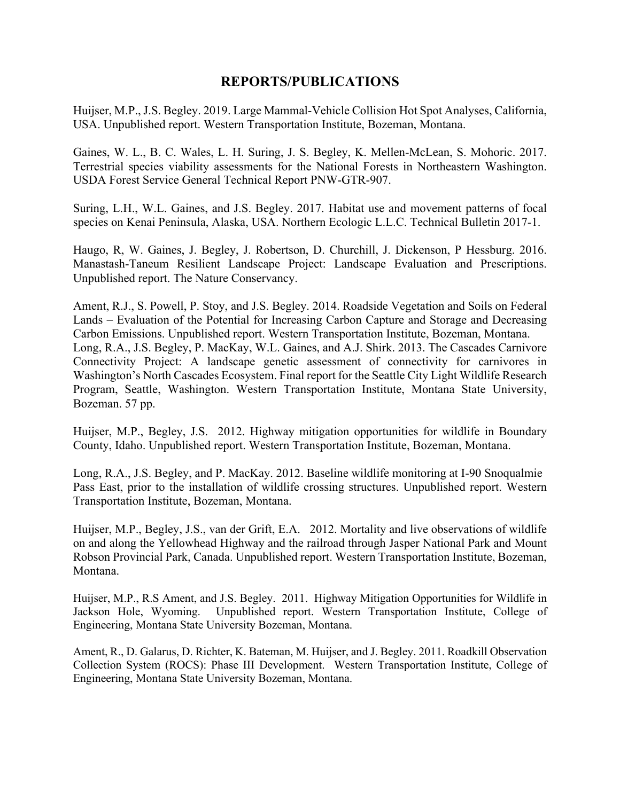### **REPORTS/PUBLICATIONS**

Huijser, M.P., J.S. Begley. 2019. Large Mammal-Vehicle Collision Hot Spot Analyses, California, USA. Unpublished report. Western Transportation Institute, Bozeman, Montana.

Gaines, W. L., B. C. Wales, L. H. Suring, J. S. Begley, K. Mellen-McLean, S. Mohoric. 2017. Terrestrial species viability assessments for the National Forests in Northeastern Washington. USDA Forest Service General Technical Report PNW-GTR-907.

Suring, L.H., W.L. Gaines, and J.S. Begley. 2017. Habitat use and movement patterns of focal species on Kenai Peninsula, Alaska, USA. Northern Ecologic L.L.C. Technical Bulletin 2017-1.

Haugo, R, W. Gaines, J. Begley, J. Robertson, D. Churchill, J. Dickenson, P Hessburg. 2016. Manastash-Taneum Resilient Landscape Project: Landscape Evaluation and Prescriptions. Unpublished report. The Nature Conservancy.

Ament, R.J., S. Powell, P. Stoy, and J.S. Begley. 2014. Roadside Vegetation and Soils on Federal Lands – Evaluation of the Potential for Increasing Carbon Capture and Storage and Decreasing Carbon Emissions. Unpublished report. Western Transportation Institute, Bozeman, Montana. Long, R.A., J.S. Begley, P. MacKay, W.L. Gaines, and A.J. Shirk. 2013. The Cascades Carnivore Connectivity Project: A landscape genetic assessment of connectivity for carnivores in Washington's North Cascades Ecosystem. Final report for the Seattle City Light Wildlife Research Program, Seattle, Washington. Western Transportation Institute, Montana State University, Bozeman. 57 pp.

Huijser, M.P., Begley, J.S. 2012. Highway mitigation opportunities for wildlife in Boundary County, Idaho. Unpublished report. Western Transportation Institute, Bozeman, Montana.

Long, R.A., J.S. Begley, and P. MacKay. 2012. Baseline wildlife monitoring at I-90 Snoqualmie Pass East, prior to the installation of wildlife crossing structures. Unpublished report. Western Transportation Institute, Bozeman, Montana.

Huijser, M.P., Begley, J.S., van der Grift, E.A. 2012. Mortality and live observations of wildlife on and along the Yellowhead Highway and the railroad through Jasper National Park and Mount Robson Provincial Park, Canada. Unpublished report. Western Transportation Institute, Bozeman, Montana.

Huijser, M.P., R.S Ament, and J.S. Begley. 2011. Highway Mitigation Opportunities for Wildlife in Jackson Hole, Wyoming. Unpublished report. Western Transportation Institute, College of Engineering, Montana State University Bozeman, Montana.

Ament, R., D. Galarus, D. Richter, K. Bateman, M. Huijser, and J. Begley. 2011. Roadkill Observation Collection System (ROCS): Phase III Development. Western Transportation Institute, College of Engineering, Montana State University Bozeman, Montana.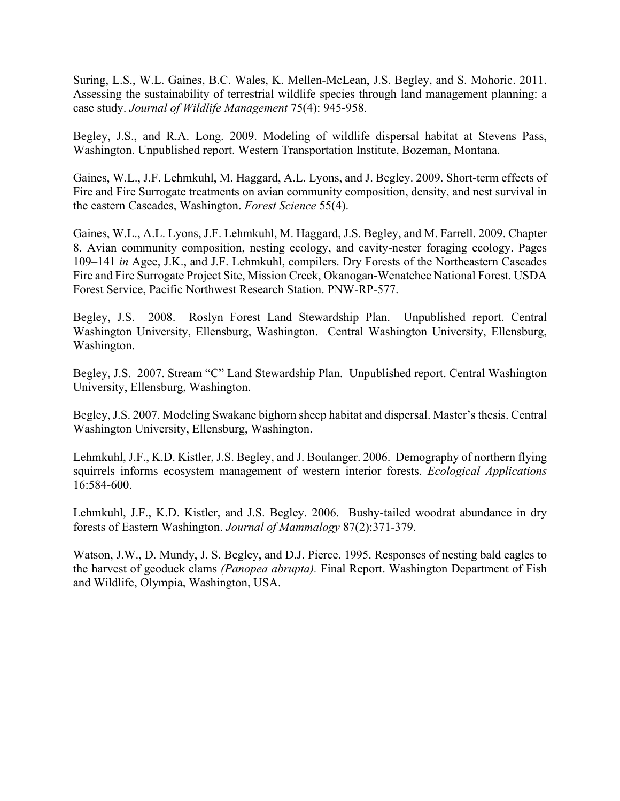Suring, L.S., W.L. Gaines, B.C. Wales, K. Mellen-McLean, J.S. Begley, and S. Mohoric. 2011. Assessing the sustainability of terrestrial wildlife species through land management planning: a case study. *Journal of Wildlife Management* 75(4): 945-958.

Begley, J.S., and R.A. Long. 2009. Modeling of wildlife dispersal habitat at Stevens Pass, Washington. Unpublished report. Western Transportation Institute, Bozeman, Montana.

Gaines, W.L., J.F. Lehmkuhl, M. Haggard, A.L. Lyons, and J. Begley. 2009. Short-term effects of Fire and Fire Surrogate treatments on avian community composition, density, and nest survival in the eastern Cascades, Washington. *Forest Science* 55(4).

Gaines, W.L., A.L. Lyons, J.F. Lehmkuhl, M. Haggard, J.S. Begley, and M. Farrell. 2009. Chapter 8. Avian community composition, nesting ecology, and cavity-nester foraging ecology. Pages 109–141 *in* Agee, J.K., and J.F. Lehmkuhl, compilers. Dry Forests of the Northeastern Cascades Fire and Fire Surrogate Project Site, Mission Creek, Okanogan-Wenatchee National Forest. USDA Forest Service, Pacific Northwest Research Station. PNW-RP-577.

Begley, J.S. 2008. Roslyn Forest Land Stewardship Plan. Unpublished report. Central Washington University, Ellensburg, Washington. Central Washington University, Ellensburg, Washington.

Begley, J.S. 2007. Stream "C" Land Stewardship Plan. Unpublished report. Central Washington University, Ellensburg, Washington.

Begley, J.S. 2007. Modeling Swakane bighorn sheep habitat and dispersal. Master's thesis. Central Washington University, Ellensburg, Washington.

Lehmkuhl, J.F., K.D. Kistler, J.S. Begley, and J. Boulanger. 2006. Demography of northern flying squirrels informs ecosystem management of western interior forests. *Ecological Applications* 16:584-600.

Lehmkuhl, J.F., K.D. Kistler, and J.S. Begley. 2006. Bushy-tailed woodrat abundance in dry forests of Eastern Washington. *Journal of Mammalogy* 87(2):371-379.

Watson, J.W., D. Mundy, J. S. Begley, and D.J. Pierce. 1995. Responses of nesting bald eagles to the harvest of geoduck clams *(Panopea abrupta).* Final Report. Washington Department of Fish and Wildlife, Olympia, Washington, USA.